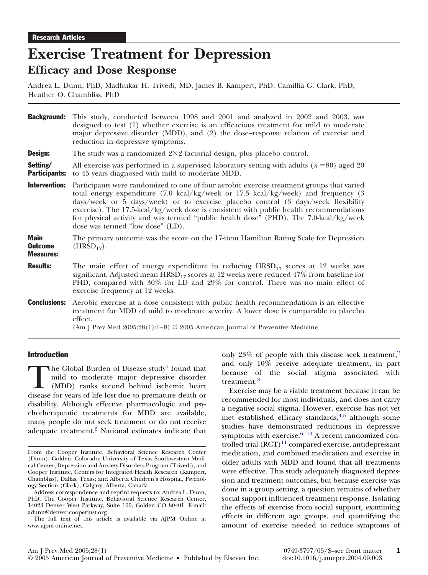# **Exercise Treatment for Depression Efficacy and Dose Response**

Andrea L. Dunn, PhD, Madhukar H. Trivedi, MD, James B. Kampert, PhD, Camillia G. Clark, PhD, Heather O. Chambliss, PhD

| <b>Background:</b>                                | This study, conducted between 1998 and 2001 and analyzed in 2002 and 2003, was<br>designed to test (1) whether exercise is an efficacious treatment for mild to moderate<br>major depressive disorder (MDD), and (2) the dose–response relation of exercise and<br>reduction in depressive symptoms.                                                                                                                                                                                                            |  |  |  |  |  |  |  |
|---------------------------------------------------|-----------------------------------------------------------------------------------------------------------------------------------------------------------------------------------------------------------------------------------------------------------------------------------------------------------------------------------------------------------------------------------------------------------------------------------------------------------------------------------------------------------------|--|--|--|--|--|--|--|
| Design:                                           | The study was a randomized $2\times 2$ factorial design, plus placebo control.                                                                                                                                                                                                                                                                                                                                                                                                                                  |  |  |  |  |  |  |  |
| Setting/<br><b>Participants:</b>                  | All exercise was performed in a supervised laboratory setting with adults ( $n = 80$ ) aged 20<br>to 45 years diagnosed with mild to moderate MDD.                                                                                                                                                                                                                                                                                                                                                              |  |  |  |  |  |  |  |
| <b>Intervention:</b>                              | Participants were randomized to one of four aerobic exercise treatment groups that varied<br>total energy expenditure $(7.0 \text{ kcal/kg/week or } 17.5 \text{ kcal/kg/week})$ and frequency $(3$<br>days/week or 5 days/week) or to exercise placebo control (3 days/week flexibility<br>exercise). The 17.5-kcal/kg/week dose is consistent with public health recommendations<br>for physical activity and was termed "public health dose" (PHD). The 7.0-kcal/kg/week<br>dose was termed "low dose" (LD). |  |  |  |  |  |  |  |
| <b>Main</b><br><b>Outcome</b><br><b>Measures:</b> | The primary outcome was the score on the 17-item Hamilton Rating Scale for Depression<br>$(HRSD17)$ .                                                                                                                                                                                                                                                                                                                                                                                                           |  |  |  |  |  |  |  |
| <b>Results:</b>                                   | The main effect of energy expenditure in reducing $H RSD_{17}$ scores at 12 weeks was<br>significant. Adjusted mean $HRSD_{17}$ scores at 12 weeks were reduced 47% from baseline for<br>PHD, compared with 30% for LD and 29% for control. There was no main effect of<br>exercise frequency at 12 weeks.                                                                                                                                                                                                      |  |  |  |  |  |  |  |
| <b>Conclusions:</b>                               | Aerobic exercise at a dose consistent with public health recommendations is an effective<br>treatment for MDD of mild to moderate severity. A lower dose is comparable to placebo<br>effect.<br>(Am J Prev Med $2005;28(1):1-8$ ) © 2005 American Journal of Preventive Medicine                                                                                                                                                                                                                                |  |  |  |  |  |  |  |

## Introduction

The Global Burden of Disease study<sup>1</sup> found that<br>mild to moderate major depressive disorder<br>(MDD) ranks second behind ischemic heart<br>disease for years of life lost due to premature death or mild to moderate major depressive disorder (MDD) ranks second behind ischemic heart disease for years of life lost due to premature death or disability. Although effective pharmacologic and psychotherapeutic treatments for MDD are available, many people do not seek treatment or do not receive adequate treatment[.2](#page-7-0) National estimates indicate that only 23% of people with this disease seek treatment,<sup>2</sup> and only 10% receive adequate treatment, in part because of the social stigma associated with treatment.<sup>[3](#page-7-0)</sup>

Exercise may be a viable treatment because it can be recommended for most individuals, and does not carry a negative social stigma. However, exercise has not yet met established efficacy standards[,4,5](#page-7-0) although some studies have demonstrated reductions in depressive symptoms with exercise. $6-10$  A recent randomized controlled trial  $(RCT)^{11}$  compared exercise, antidepressant medication, and combined medication and exercise in older adults with MDD and found that all treatments were effective. This study adequately diagnosed depression and treatment outcomes, but because exercise was done in a group setting, a question remains of whether social support influenced treatment response. Isolating the effects of exercise from social support, examining effects in different age groups, and quantifying the amount of exercise needed to reduce symptoms of

From the Cooper Institute, Behavioral Science Research Center (Dunn), Golden, Colorado; University of Texas Southwestern Medical Center, Depression and Anxiety Disorders Program (Trivedi), and Cooper Institute, Centers for Integrated Health Research (Kampert, Chambliss), Dallas, Texas; and Alberta Children's Hospital, Psychology Section (Clark), Calgary, Alberta, Canada

Address correspondence and reprint requests to: Andrea L. Dunn, PhD, The Cooper Institute, Behavioral Science Research Center, 14023 Denver West Parkway, Suite 100, Golden CO 80401. E-mail: adunn@denver.cooperinst.org

The full text of this article is available via AJPM Online at www.ajpm-online.net.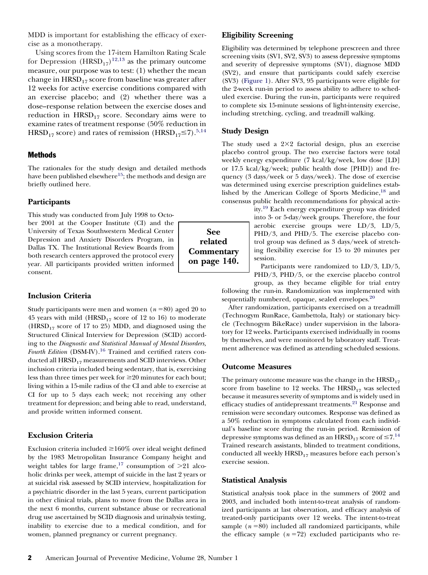MDD is important for establishing the efficacy of exercise as a monotherapy.

Using scores from the 17-item Hamilton Rating Scale for Depression  $(HRSD_{17})^{12,13}$  as the primary outcome measure, our purpose was to test: (1) whether the mean change in  $HRSD_{17}$  score from baseline was greater after 12 weeks for active exercise conditions compared with an exercise placebo; and (2) whether there was a dose–response relation between the exercise doses and reduction in  $HRSD_{17}$  score. Secondary aims were to examine rates of treatment response (50% reduction in  $HRSD_{17}$  score) and rates of remission (HRSD<sub>17</sub> $\leq$ 7).<sup>5,14</sup>

## Methods

The rationales for the study design and detailed methods have been published elsewhere<sup>15</sup>; the methods and design are briefly outlined here.

#### **Participants**

This study was conducted from July 1998 to October 2001 at the Cooper Institute (CI) and the University of Texas Southwestern Medical Center Depression and Anxiety Disorders Program, in Dallas TX. The Institutional Review Boards from both research centers approved the protocol every year. All participants provided written informed consent.

#### **Inclusion Criteria**

Study participants were men and women  $(n = 80)$  aged 20 to 45 years with mild  $(HRSD_{17}$  score of 12 to 16) to moderate  $(HRSD<sub>17</sub> score of 17 to 25) MDD, and diagnosed using the$ Structured Clinical Interview for Depression (SCID) according to the *Diagnostic and Statistical Manual of Mental Disorders, Fourth Edition* (DSM-IV)[.16](#page-7-0) Trained and certified raters conducted all  $HRSD_{17}$  measurements and SCID interviews. Other inclusion criteria included being sedentary, that is, exercising less than three times per week for  $\geq$ 20 minutes for each bout; living within a 15-mile radius of the CI and able to exercise at CI for up to 5 days each week; not receiving any other treatment for depression; and being able to read, understand, and provide written informed consent.

# **Exclusion Criteria**

Exclusion criteria included  $\geq$ 160% over ideal weight defined by the 1983 Metropolitan Insurance Company height and weight tables for large frame,<sup>17</sup> consumption of  $>21$  alcoholic drinks per week, attempt of suicide in the last 2 years or at suicidal risk assessed by SCID interview, hospitalization for a psychiatric disorder in the last 5 years, current participation in other clinical trials, plans to move from the Dallas area in the next 6 months, current substance abuse or recreational drug use ascertained by SCID diagnosis and urinalysis testing, inability to exercise due to a medical condition, and for women, planned pregnancy or current pregnancy.

# **Eligibility Screening**

Eligibility was determined by telephone prescreen and three screening visits (SV1, SV2, SV3) to assess depressive symptoms and severity of depressive symptoms (SV1), diagnose MDD (SV2), and ensure that participants could safely exercise (SV3) [\(Figure 1\)](#page-2-0). After SV3, 95 participants were eligible for the 2-week run-in period to assess ability to adhere to scheduled exercise. During the run-in, participants were required to complete six 15-minute sessions of light-intensity exercise, including stretching, cycling, and treadmill walking.

## **Study Design**

The study used a  $2\times2$  factorial design, plus an exercise placebo control group. The two exercise factors were total weekly energy expenditure (7 kcal/kg/week, low dose [LD] or 17.5 kcal/kg/week; public health dose [PHD]) and frequency (3 days/week or 5 days/week). The dose of exercise was determined using exercise prescription guidelines established by the American College of Sports Medicine,<sup>18</sup> and consensus public health recommendations for physical activ-

> ity[.19](#page-7-0) Each energy expenditure group was divided into 3- or 5-day/week groups. Therefore, the four aerobic exercise groups were LD/3, LD/5, PHD/3, and PHD/5. The exercise placebo control group was defined as 3 days/week of stretching flexibility exercise for 15 to 20 minutes per session.

Participants were randomized to LD/3, LD/5, PHD/3, PHD/5, or the exercise placebo control group, as they became eligible for trial entry following the run-in. Randomization was implemented with

sequentially numbered, opaque, sealed envelopes.<sup>20</sup> After randomization, participants exercised on a treadmill (Technogym RunRace, Gambettola, Italy) or stationary bicycle (Technogym BikeRace) under supervision in the laboratory for 12 weeks. Participants exercised individually in rooms by themselves, and were monitored by laboratory staff. Treatment adherence was defined as attending scheduled sessions.

#### **Outcome Measures**

The primary outcome measure was the change in the  $HRSD_{17}$ score from baseline to 12 weeks. The  $HRSD_{17}$  was selected because it measures severity of symptoms and is widely used in efficacy studies of antidepressant treatments.<sup>21</sup> Response and remission were secondary outcomes. Response was defined as a 50% reduction in symptoms calculated from each individual's baseline score during the run-in period. Remission of depressive symptoms was defined as an HRSD<sub>17</sub> score of  $\leq 7.^{14}$ Trained research assistants, blinded to treatment conditions, conducted all weekly  $HRSD_{17}$  measures before each person's exercise session.

#### **Statistical Analysis**

Statistical analysis took place in the summers of 2002 and 2003, and included both intent-to-treat analysis of randomized participants at last observation, and efficacy analysis of treated-only participants over 12 weeks. The intent-to-treat sample (*n* = 80) included all randomized participants, while the efficacy sample  $(n = 72)$  excluded participants who re-

**See related Commentary on page 140.**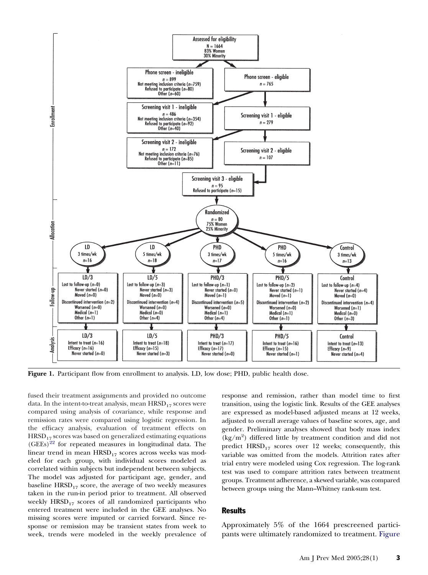<span id="page-2-0"></span>

**Figure 1.** Participant flow from enrollment to analysis. LD, low dose; PHD, public health dose.

fused their treatment assignments and provided no outcome data. In the intent-to-treat analysis, mean  $H RSD_{17}$  scores were compared using analysis of covariance, while response and remission rates were compared using logistic regression. In the efficacy analysis, evaluation of treatment effects on  $HRSD<sub>17</sub> scores was based on generalized estimating equations$  $(GEEs)$ <sup>22</sup> for repeated measures in longitudinal data. The linear trend in mean  $HRSD_{17}$  scores across weeks was modeled for each group, with individual scores modeled as correlated within subjects but independent between subjects. The model was adjusted for participant age, gender, and baseline  $HRSD_{17}$  score, the average of two weekly measures taken in the run-in period prior to treatment. All observed weekly  $HRSD_{17}$  scores of all randomized participants who entered treatment were included in the GEE analyses. No missing scores were imputed or carried forward. Since response or remission may be transient states from week to week, trends were modeled in the weekly prevalence of response and remission, rather than model time to first transition, using the logistic link. Results of the GEE analyses are expressed as model-based adjusted means at 12 weeks, adjusted to overall average values of baseline scores, age, and gender. Preliminary analyses showed that body mass index (kg/m2 ) differed little by treatment condition and did not predict  $HRSD_{17}$  scores over 12 weeks; consequently, this variable was omitted from the models. Attrition rates after trial entry were modeled using Cox regression. The log-rank test was used to compare attrition rates between treatment groups. Treatment adherence, a skewed variable, was compared between groups using the Mann–Whitney rank-sum test.

#### Results

Approximately 5% of the 1664 prescreened participants were ultimately randomized to treatment. Figure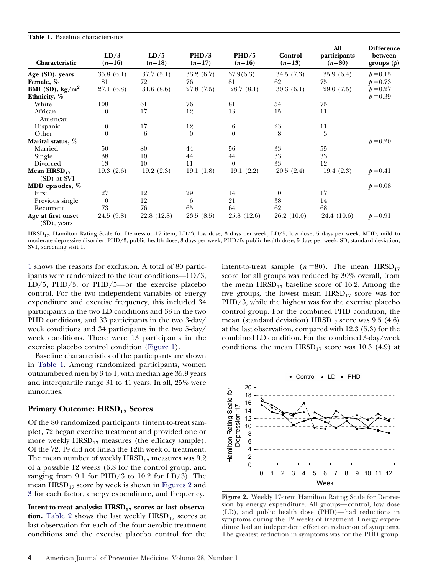| Table 1. Baseline characteristics |                  |                  |                   |                   |                     |                                 |                                              |  |  |
|-----------------------------------|------------------|------------------|-------------------|-------------------|---------------------|---------------------------------|----------------------------------------------|--|--|
| Characteristic                    | LD/3<br>$(n=16)$ | LD/5<br>$(n=18)$ | PHD/3<br>$(n=17)$ | PHD/5<br>$(n=16)$ | Control<br>$(n=13)$ | All<br>participants<br>$(n=80)$ | <b>Difference</b><br>between<br>groups $(p)$ |  |  |
| Age (SD), years                   | 35.8(6.1)        | 37.7(5.1)        | 33.2(6.7)         | 37.9(6.3)         | 34.5(7.3)           | 35.9(6.4)                       | $p = 0.15$                                   |  |  |
| Female, %                         | 81               | 72               | 76                | 81                | 62                  | 75                              | $p = 0.73$                                   |  |  |
| BMI $(SD)$ , kg/m <sup>2</sup>    | 27.1(6.8)        | 31.6(8.6)        | 27.8 (7.5)        | 28.7(8.1)         | 30.3(6.1)           | 29.0(7.5)                       | $p = 0.27$                                   |  |  |
| Ethnicity, %                      |                  |                  |                   |                   |                     |                                 | $p = 0.39$                                   |  |  |
| White                             | 100              | 61               | 76                | 81                | 54                  | 75                              |                                              |  |  |
| African                           | $\theta$         | 17               | 12                | 13                | 15                  | 11                              |                                              |  |  |
| American                          |                  |                  |                   |                   |                     |                                 |                                              |  |  |
| Hispanic                          | $\boldsymbol{0}$ | 17               | 12                | 6                 | 23                  | 11                              |                                              |  |  |
| Other                             | $\theta$         | 6                | $\theta$          | $\Omega$          | 8                   | 3                               |                                              |  |  |
| Marital status, %                 |                  |                  |                   |                   |                     |                                 | $p = 0.20$                                   |  |  |
| Married                           | 50               | 80               | 44                | 56                | 33                  | 55                              |                                              |  |  |
| Single                            | 38               | 10               | 44                | 44                | 33                  | 33                              |                                              |  |  |
| Divorced                          | 13               | 10               | 11                | $\theta$          | 33                  | 12                              |                                              |  |  |
| Mean $HRSD_{17}$<br>(SD) at SV1   | 19.3(2.6)        | 19.2(2.3)        | 19.1(1.8)         | 19.1(2.2)         | 20.5(2.4)           | 19.4(2.3)                       | $p = 0.41$                                   |  |  |
| MDD episodes, %                   |                  |                  |                   |                   |                     |                                 | $p = 0.08$                                   |  |  |
| First                             | 27               | 12               | 29                | 14                | $\theta$            | 17                              |                                              |  |  |
| Previous single                   | $\theta$         | 12               | 6                 | 21                | 38                  | 14                              |                                              |  |  |
| Recurrent                         | 73               | 76               | 65                | 64                | 62                  | 68                              |                                              |  |  |
| Age at first onset                | 24.5 (9.8)       | 22.8 (12.8)      | 23.5(8.5)         | 25.8(12.6)        | 26.2(10.0)          | 24.4 (10.6)                     | $p = 0.91$                                   |  |  |
| (SD), years                       |                  |                  |                   |                   |                     |                                 |                                              |  |  |

 $HRSD_{17}$ , Hamilton Rating Scale for Depression-17 item; LD/3, low dose, 3 days per week; LD/5, low dose, 5 days per week; MDD, mild to moderate depressive disorder; PHD/3, public health dose, 3 days per week; PHD/5, public health dose, 5 days per week; SD, standard deviation; SV1, screening visit 1.

[1](#page-2-0) shows the reasons for exclusion. A total of 80 participants were randomized to the four conditions—LD/3, LD/5, PHD/3, or PHD/5— or the exercise placebo control. For the two independent variables of energy expenditure and exercise frequency, this included 34 participants in the two LD conditions and 33 in the two PHD conditions, and 33 participants in the two 3-day/ week conditions and 34 participants in the two 5-day/ week conditions. There were 13 participants in the exercise placebo control condition [\(Figure 1\)](#page-2-0).

Baseline characteristics of the participants are shown in Table 1. Among randomized participants, women outnumbered men by 3 to 1, with median age 35.9 years and interquartile range 31 to 41 years. In all, 25% were minorities.

# **Primary Outcome: HRSD<sub>17</sub> Scores**

Of the 80 randomized participants (intent-to-treat sample), 72 began exercise treatment and provided one or more weekly  $HRSD_{17}$  measures (the efficacy sample). Of the 72, 19 did not finish the 12th week of treatment. The mean number of weekly  $HRSD_{17}$  measures was 9.2 of a possible 12 weeks (6.8 for the control group, and ranging from 9.1 for PHD/3 to 10.2 for LD/3). The mean  $HRSD_{17}$  score by week is shown in Figures 2 and [3](#page-4-0) for each factor, energy expenditure, and frequency.

Intent-to-treat analysis: HRSD<sub>17</sub> scores at last observa**tion.** [Table 2](#page-4-0) shows the last weekly  $HRSD_{17}$  scores at last observation for each of the four aerobic treatment conditions and the exercise placebo control for the

intent-to-treat sample  $(n = 80)$ . The mean  $H RSD_{17}$ score for all groups was reduced by 30% overall, from the mean  $HRSD_{17}$  baseline score of 16.2. Among the five groups, the lowest mean  $HRSD_{17}$  score was for PHD/3, while the highest was for the exercise placebo control group. For the combined PHD condition, the mean (standard deviation)  $HRSD<sub>17</sub>$  score was 9.5 (4.6) at the last observation, compared with 12.3 (5.3) for the combined LD condition. For the combined 3-day/week conditions, the mean  $HRSD_{17}$  score was 10.3 (4.9) at



**Figure 2.** Weekly 17-item Hamilton Rating Scale for Depression by energy expenditure. All groups— control, low dose (LD), and public health dose  $(\text{PHD})$ -had reductions in symptoms during the 12 weeks of treatment. Energy expenditure had an independent effect on reduction of symptoms. The greatest reduction in symptoms was for the PHD group.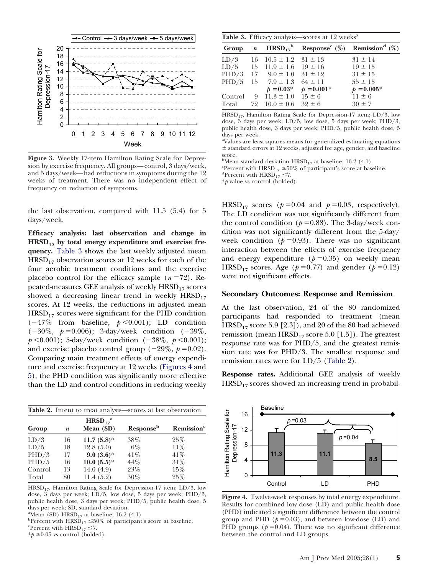<span id="page-4-0"></span>

**Figure 3.** Weekly 17-item Hamilton Rating Scale for Depression by exercise frequency. All groups— control, 3 days/week, and 5 days/week—had reductions in symptoms during the 12 weeks of treatment. There was no independent effect of frequency on reduction of symptoms.

the last observation, compared with 11.5 (5.4) for 5 days/week.

**Efficacy analysis: last observation and change in** HRSD<sub>17</sub> by total energy expenditure and exercise fre**quency.** Table 3 shows the last weekly adjusted mean  $HRSD_{17}$  observation scores at 12 weeks for each of the four aerobic treatment conditions and the exercise placebo control for the efficacy sample  $(n = 72)$ . Repeated-measures GEE analysis of weekly  $HRSD_{17}$  scores showed a decreasing linear trend in weekly  $HRSD_{17}$ scores. At 12 weeks, the reductions in adjusted mean  $HRSD_{17}$  scores were significant for the PHD condition  $(-47\%$  from baseline,  $p < 0.001$ ); LD condition  $(-30\%, p=0.006);$  3-day/week condition  $(-39\%,$  $p \leq 0.001$ ; 5-day/week condition  $(-38\%, p \leq 0.001)$ ; and exercise placebo control group  $(-29\%, p=0.02)$ . Comparing main treatment effects of energy expenditure and exercise frequency at 12 weeks (Figures 4 and [5\)](#page-5-0), the PHD condition was significantly more effective than the LD and control conditions in reducing weekly

| <b>Table 2.</b> Intent to treat analysis—scores at last observation |                  |                                     |                              |                        |  |  |  |  |  |
|---------------------------------------------------------------------|------------------|-------------------------------------|------------------------------|------------------------|--|--|--|--|--|
| Group                                                               | $\boldsymbol{n}$ | $H RSD_{17}^{\quad a}$<br>Mean (SD) | <b>Response</b> <sup>b</sup> | Remission <sup>c</sup> |  |  |  |  |  |
| LD/3                                                                | 16               | $11.7(5.8)$ *                       | 38%                          | 25%                    |  |  |  |  |  |
| LD/5                                                                | 18               | 12.8(5.0)                           | $6\%$                        | 11%                    |  |  |  |  |  |
| PHD/3                                                               | 17               | 9.0 $(3.6)$ *                       | 41%                          | 41%                    |  |  |  |  |  |
| PHD/5                                                               | 16               | $10.0(5.5)*$                        | 44%                          | 31%                    |  |  |  |  |  |
| Control                                                             | 13               | 14.0 $(4.9)$                        | 23%                          | 15%                    |  |  |  |  |  |
| Total                                                               | 80               | 11.4(5.2)                           | $30\%$                       | 25%                    |  |  |  |  |  |

 $HRSD<sub>17</sub>$ , Hamilton Rating Scale for Depression-17 item; LD/3, low dose, 3 days per week; LD/5, low dose, 5 days per week; PHD/3, public health dose, 3 days per week; PHD/5, public health dose, 5 days per week; SD, standard deviation.

<sup>a</sup> Mean (SD) HRSD<sub>17</sub> at baseline, 16.2 (4.1)<sup>b</sup> Percent with HRSD.  $\leq 50\%$  of participant

Percent with  $HRSD_{17} \leq 50\%$  of participant's score at baseline.

Percent with  $HRSD_{17} \leq 7$ .

 $*_p \leq 0.05$  vs control (bolded).

Table 3. Efficacy analysis—scores at 12 weeks<sup>a</sup> Group *n* **HRSD**<sub>17</sub><sup>b</sup> **Response<sup>c</sup> (%) Remission**<sup>d</sup> (%) LD/3 16  $10.5 \pm 1.2$  31  $\pm 13$  31  $\pm 14$ <br>LD/5 15 11.9  $\pm 1.6$  19  $\pm 16$  19  $\pm 15$ LD/5 15  $11.9 \pm 1.6$   $19 \pm 16$ <br>PHD/3 17  $9.0 \pm 1.0$   $31 \pm 12$ PHD/3 17  $9.0 \pm 1.0$   $31 \pm 12$   $31 \pm 15$ PHD/5 15  $7.9 \pm 1.3$   $64 \pm 11$   $55 \pm 15$  $p = 0.03^*$   $p = 0.001^*$   $p = 0.005^*$ <br>11.3 ± 1.0 15 ± 6 11 ± 6 Control 9  $\overline{11.3} \pm 1.0 \overline{15} \pm 6$ Total 72  $10.0 \pm 0.6$  32  $\pm 6$  30  $\pm 7$ 

a Values are least-squares means for generalized estimating equations  $±$  standard errors at 12 weeks, adjusted for age, gender, and baseline score.

<sup>b</sup>Mean standard deviation HRSD<sub>17</sub> at baseline, 16.2 (4.1).

Percent with  $HRSD_{17} \leq 50\%$  of participant's score at baseline.

<sup>d</sup>Percent with  $HRSD_{17} \le 7$ .

\**p* value vs control (bolded).

 $HRSD_{17}$  scores ( $p = 0.04$  and  $p = 0.03$ , respectively). The LD condition was not significantly different from the control condition ( $p = 0.88$ ). The 3-day/week condition was not significantly different from the 5-day/ week condition  $(p=0.93)$ . There was no significant interaction between the effects of exercise frequency and energy expenditure  $(p=0.35)$  on weekly mean  $HRSD_{17}$  scores. Age ( $p=0.77$ ) and gender ( $p=0.12$ ) were not significant effects.

#### **Secondary Outcomes: Response and Remission**

At the last observation, 24 of the 80 randomized participants had responded to treatment (mean  $HRSD_{17}$  score 5.9 [2.3]), and 20 of the 80 had achieved remission (mean  $HRSD_{17}$  score 5.0 [1.5]). The greatest response rate was for PHD/5, and the greatest remission rate was for PHD/3. The smallest response and remission rates were for LD/5 (Table 2).

**Response rates.** Additional GEE analysis of weekly  $HRSD_{17}$  scores showed an increasing trend in probabil-



**Figure 4.** Twelve-week responses by total energy expenditure. Results for combined low dose (LD) and public health dose (PHD) indicated a significant difference between the control group and PHD  $(p=0.03)$ , and between low-dose (LD) and PHD groups  $(p=0.04)$ . There was no significant difference between the control and LD groups.

 $\mathrm{HRSD}_{17},$  Hamilton Rating Scale for Depression-17 item; LD/3, low dose, 3 days per week; LD/5, low dose, 5 days per week; PHD/3, public health dose, 3 days per week; PHD/5, public health dose, 5 days per week.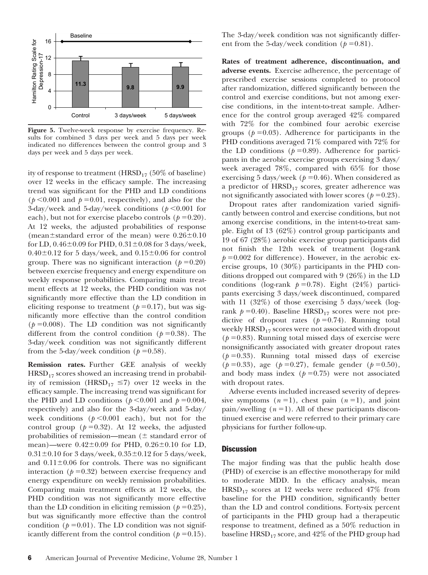<span id="page-5-0"></span>

**Figure 5.** Twelve-week response by exercise frequency. Results for combined 3 days per week and 5 days per week indicated no differences between the control group and 3 days per week and 5 days per week.

ity of response to treatment (HRSD<sub>17</sub> (50% of baseline) over 12 weeks in the efficacy sample. The increasing trend was significant for the PHD and LD conditions ( $p \le 0.001$  and  $p = 0.01$ , respectively), and also for the 3-day/week and 5-day/week conditions  $(p<0.001$  for each), but not for exercise placebo controls  $(p=0.20)$ . At 12 weeks, the adjusted probabilities of response (mean $\pm$ standard error of the mean) were  $0.26\pm0.10$ for LD,  $0.46\pm0.09$  for PHD,  $0.31\pm0.08$  for 3 days/week,  $0.40\pm0.12$  for 5 days/week, and  $0.15\pm0.06$  for control group. There was no significant interaction  $(p=0.20)$ between exercise frequency and energy expenditure on weekly response probabilities. Comparing main treatment effects at 12 weeks, the PHD condition was not significantly more effective than the LD condition in eliciting response to treatment ( $p = 0.17$ ), but was significantly more effective than the control condition  $(p=0.008)$ . The LD condition was not significantly different from the control condition ( $p = 0.38$ ). The 3-day/week condition was not significantly different from the 5-day/week condition  $(p=0.58)$ .

**Remission rates.** Further GEE analysis of weekly  $HRSD<sub>17</sub>$  scores showed an increasing trend in probability of remission (HRSD<sub>17</sub>  $\leq$ 7) over 12 weeks in the efficacy sample. The increasing trend was significant for the PHD and LD conditions ( $p < 0.001$  and  $p = 0.004$ , respectively) and also for the 3-day/week and 5-day/ week conditions  $(p<0.001$  each), but not for the control group ( $p = 0.32$ ). At 12 weeks, the adjusted probabilities of remission—mean ( $\pm$  standard error of mean)—were  $0.42 \pm 0.09$  for PHD,  $0.26 \pm 0.10$  for LD,  $0.31\pm0.10$  for 3 days/week,  $0.35\pm0.12$  for 5 days/week, and  $0.11\pm0.06$  for controls. There was no significant interaction  $(p=0.32)$  between exercise frequency and energy expenditure on weekly remission probabilities. Comparing main treatment effects at 12 weeks, the PHD condition was not significantly more effective than the LD condition in eliciting remission ( $p = 0.25$ ), but was significantly more effective than the control condition ( $p = 0.01$ ). The LD condition was not significantly different from the control condition  $(p=0.15)$ .

The 3-day/week condition was not significantly different from the 5-day/week condition  $(p=0.81)$ .

**Rates of treatment adherence, discontinuation, and adverse events.** Exercise adherence, the percentage of prescribed exercise sessions completed to protocol after randomization, differed significantly between the control and exercise conditions, but not among exercise conditions, in the intent-to-treat sample. Adherence for the control group averaged 42% compared with 72% for the combined four aerobic exercise groups  $(p=0.03)$ . Adherence for participants in the PHD conditions averaged 71% compared with 72% for the LD conditions  $(p=0.89)$ . Adherence for participants in the aerobic exercise groups exercising 3 days/ week averaged 78%, compared with 65% for those exercising 5 days/week ( $p = 0.46$ ). When considered as a predictor of  $HRSD<sub>17</sub>$  scores, greater adherence was not significantly associated with lower scores  $(p=0.23)$ .

Dropout rates after randomization varied significantly between control and exercise conditions, but not among exercise conditions, in the intent-to-treat sample. Eight of 13 (62%) control group participants and 19 of 67 (28%) aerobic exercise group participants did not finish the 12th week of treatment (log-rank  $p = 0.002$  for difference). However, in the aerobic exercise groups, 10 (30%) participants in the PHD conditions dropped out compared with 9 (26%) in the LD conditions (log-rank  $p=0.78$ ). Eight (24%) participants exercising 3 days/week discontinued, compared with  $11$  (32%) of those exercising 5 days/week (logrank  $p = 0.40$ ). Baseline  $HRSD_{17}$  scores were not predictive of dropout rates  $(p=0.74)$ . Running total weekly  $HRSD_{17}$  scores were not associated with dropout  $(p=0.83)$ . Running total missed days of exercise were nonsignificantly associated with greater dropout rates  $(p=0.33)$ . Running total missed days of exercise  $(p=0.33)$ , age  $(p=0.27)$ , female gender  $(p=0.50)$ , and body mass index  $(p=0.75)$  were not associated with dropout rates.

Adverse events included increased severity of depressive symptoms  $(n=1)$ , chest pain  $(n=1)$ , and joint  $\text{pain}/\text{swelling}$  ( $n = 1$ ). All of these participants discontinued exercise and were referred to their primary care physicians for further follow-up.

#### **Discussion**

The major finding was that the public health dose (PHD) of exercise is an effective monotherapy for mild to moderate MDD. In the efficacy analysis, mean  $HRSD_{17}$  scores at 12 weeks were reduced 47% from baseline for the PHD condition, significantly better than the LD and control conditions. Forty-six percent of participants in the PHD group had a therapeutic response to treatment, defined as a 50% reduction in baseline  $HRSD_{17}$  score, and  $42\%$  of the PHD group had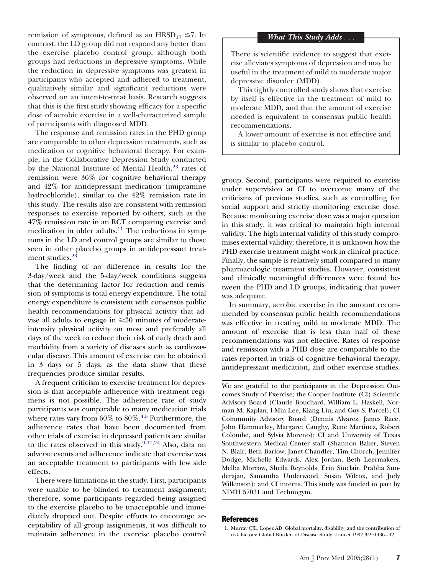#### *What This Study Adds* ...

<span id="page-6-0"></span>remission of symptoms, defined as an  $HRSD_{17} \le 7$ . In contrast, the LD group did not respond any better than the exercise placebo control group, although both groups had reductions in depressive symptoms. While the reduction in depressive symptoms was greatest in participants who accepted and adhered to treatment, qualitatively similar and significant reductions were observed on an intent-to-treat basis. Research suggests that this is the first study showing efficacy for a specific dose of aerobic exercise in a well-characterized sample of participants with diagnosed MDD.

The response and remission rates in the PHD group are comparable to other depression treatments, such as medication or cognitive behavioral therapy. For example, in the Collaborative Depression Study conducted by the National Institute of Mental Health,<sup>23</sup> rates of remission were 36% for cognitive behavioral therapy and 42% for antidepressant medication (imipramine hydrochloride), similar to the 42% remission rate in this study. The results also are consistent with remission responses to exercise reported by others, such as the 47% remission rate in an RCT comparing exercise and medication in older adults. $11$  The reductions in symptoms in the LD and control groups are similar to those seen in other placebo groups in antidepressant treatment studies.<sup>23</sup>

The finding of no difference in results for the 3-day/week and the 5-day/week conditions suggests that the determining factor for reduction and remission of symptoms is total energy expenditure. The total energy expenditure is consistent with consensus public health recommendations for physical activity that advise all adults to engage in  $\geq 30$  minutes of moderateintensity physical activity on most and preferably all days of the week to reduce their risk of early death and morbidity from a variety of diseases such as cardiovascular disease. This amount of exercise can be obtained in 3 days or 5 days, as the data show that these frequencies produce similar results.

A frequent criticism to exercise treatment for depression is that acceptable adherence with treatment regimens is not possible. The adherence rate of study participants was comparable to many medication trials where rates vary from  $60\%$  to  $80\%$ .<sup>4,5</sup> Furthermore, the adherence rates that have been documented from other trials of exercise in depressed patients are similar to the rates observed in this study.<sup>9,11,24</sup> Also, data on adverse events and adherence indicate that exercise was an acceptable treatment to participants with few side effects.

There were limitations in the study. First, participants were unable to be blinded to treatment assignment; therefore, some participants regarded being assigned to the exercise placebo to be unacceptable and immediately dropped out. Despite efforts to encourage acceptability of all group assignments, it was difficult to maintain adherence in the exercise placebo control There is scientific evidence to suggest that exercise alleviates symptoms of depression and may be useful in the treatment of mild to moderate major depressive disorder (MDD).

This tightly controlled study shows that exercise by itself is effective in the treatment of mild to moderate MDD, and that the amount of exercise needed is equivalent to consensus public health recommendations.

A lower amount of exercise is not effective and is similar to placebo control.

group. Second, participants were required to exercise under supervision at CI to overcome many of the criticisms of previous studies, such as controlling for social support and strictly monitoring exercise dose. Because monitoring exercise dose was a major question in this study, it was critical to maintain high internal validity. The high internal validity of this study compromises external validity; therefore, it is unknown how the PHD exercise treatment might work in clinical practice. Finally, the sample is relatively small compared to many pharmacologic treatment studies. However, consistent and clinically meaningful differences were found between the PHD and LD groups, indicating that power was adequate.

In summary, aerobic exercise in the amount recommended by consensus public health recommendations was effective in treating mild to moderate MDD. The amount of exercise that is less than half of these recommendations was not effective. Rates of response and remission with a PHD dose are comparable to the rates reported in trials of cognitive behavioral therapy, antidepressant medication, and other exercise studies.

We are grateful to the participants in the Depression Outcomes Study of Exercise; the Cooper Institute (CI) Scientific Advisory Board (Claude Bouchard, William L. Haskell, Norman M. Kaplan, I-Min Lee, Kiang Liu, and Guy S. Parcel); CI Community Advisory Board (Dennis Alvarez, James Race, John Hammarley, Margaret Caughy, Rene Martinez, Robert Colombe, and Sylvia Moreno); CI and University of Texas Southwestern Medical Center staff (Shannon Baker, Steven N. Blair, Beth Barlow, Janet Chandler, Tim Church, Jennifer Dodge, Michelle Edwards, Alex Jordan, Beth Leermakers, Melba Morrow, Sheila Reynolds, Erin Sinclair, Prabha Sunderajan, Samantha Underwood, Susan Wilcox, and Jody Wilkinson); and CI interns. This study was funded in part by NIMH 57031 and Technogym.

#### References

<sup>1.</sup> Murray CJL, Lopez AD. Global mortality, disability, and the contribution of risk factors: Global Burden of Disease Study. Lancet 1997;349:1436 – 42.